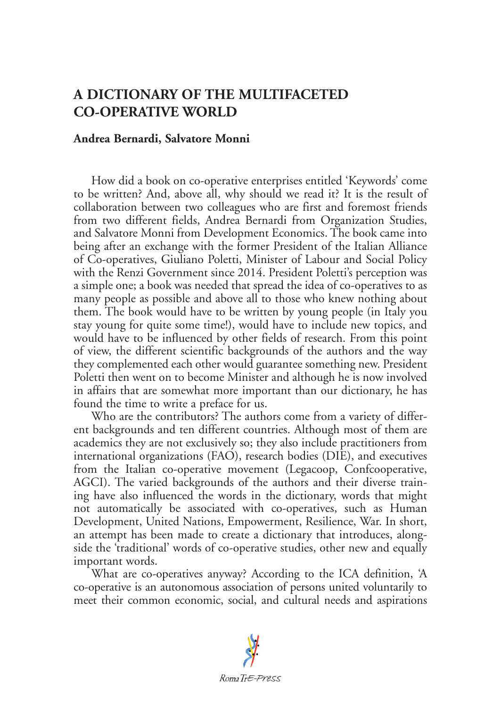## **A DICTIONARY OF THE MULTIFACETED CO-OPERATIVE WORLD**

## **Andrea Bernardi, Salvatore Monni**

How did a book on co-operative enterprises entitled 'Keywords' come to be written? And, above all, why should we read it? It is the result of collaboration between two colleagues who are first and foremost friends from two different fields, Andrea Bernardi from Organization Studies, and Salvatore Monni from Development Economics. The book came into being after an exchange with the former President of the Italian Alliance of Co-operatives, Giuliano Poletti, Minister of Labour and Social Policy with the Renzi Government since 2014. President Poletti's perception was a simple one; a book was needed that spread the idea of co-operatives to as many people as possible and above all to those who knew nothing about them. The book would have to be written by young people (in Italy you stay young for quite some time!), would have to include new topics, and would have to be influenced by other fields of research. From this point of view, the different scientific backgrounds of the authors and the way they complemented each other would guarantee something new. President Poletti then went on to become Minister and although he is now involved in affairs that are somewhat more important than our dictionary, he has found the time to write a preface for us.

Who are the contributors? The authors come from a variety of different backgrounds and ten different countries. Although most of them are academics they are not exclusively so; they also include practitioners from international organizations (FAO), research bodies (DIE), and executives from the Italian co-operative movement (Legacoop, Confcooperative, AGCI). The varied backgrounds of the authors and their diverse training have also influenced the words in the dictionary, words that might not automatically be associated with co-operatives, such as Human Development, United Nations, Empowerment, Resilience, War. In short, an attempt has been made to create a dictionary that introduces, alongside the 'traditional' words of co-operative studies, other new and equally important words.

What are co-operatives anyway? According to the ICA definition, 'A co-operative is an autonomous association of persons united voluntarily to meet their common economic, social, and cultural needs and aspirations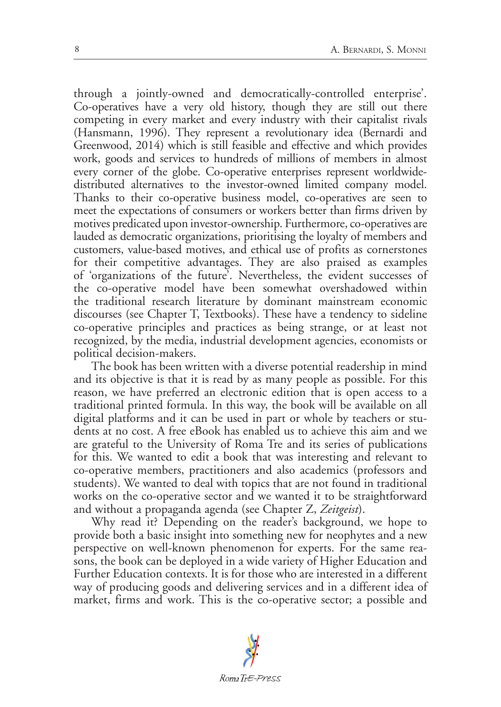through a jointly-owned and democratically-controlled enterprise'. Co-operatives have a very old history, though they are still out there competing in every market and every industry with their capitalist rivals (Hansmann, 1996). They represent a revolutionary idea (Bernardi and Greenwood, 2014) which is still feasible and effective and which provides work, goods and services to hundreds of millions of members in almost every corner of the globe. Co-operative enterprises represent worldwidedistributed alternatives to the investor-owned limited company model. Thanks to their co-operative business model, co-operatives are seen to meet the expectations of consumers or workers better than firms driven by motives predicated upon investor-ownership. Furthermore, co-operatives are lauded as democratic organizations, prioritising the loyalty of members and customers, value-based motives, and ethical use of profits as cornerstones for their competitive advantages. They are also praised as examples of 'organizations of the future'. Nevertheless, the evident successes of the co-operative model have been somewhat overshadowed within the traditional research literature by dominant mainstream economic discourses (see Chapter T, Textbooks). These have a tendency to sideline co-operative principles and practices as being strange, or at least not recognized, by the media, industrial development agencies, economists or political decision-makers.

The book has been written with a diverse potential readership in mind and its objective is that it is read by as many people as possible. For this reason, we have preferred an electronic edition that is open access to a traditional printed formula. In this way, the book will be available on all digital platforms and it can be used in part or whole by teachers or students at no cost. A free eBook has enabled us to achieve this aim and we are grateful to the University of Roma Tre and its series of publications for this. We wanted to edit a book that was interesting and relevant to co-operative members, practitioners and also academics (professors and students). We wanted to deal with topics that are not found in traditional works on the co-operative sector and we wanted it to be straightforward and without a propaganda agenda (see Chapter Z, *Zeitgeist*).

Why read it? Depending on the reader's background, we hope to provide both a basic insight into something new for neophytes and a new perspective on well-known phenomenon for experts. For the same reasons, the book can be deployed in a wide variety of Higher Education and Further Education contexts. It is for those who are interested in a different way of producing goods and delivering services and in a different idea of market, firms and work. This is the co-operative sector; a possible and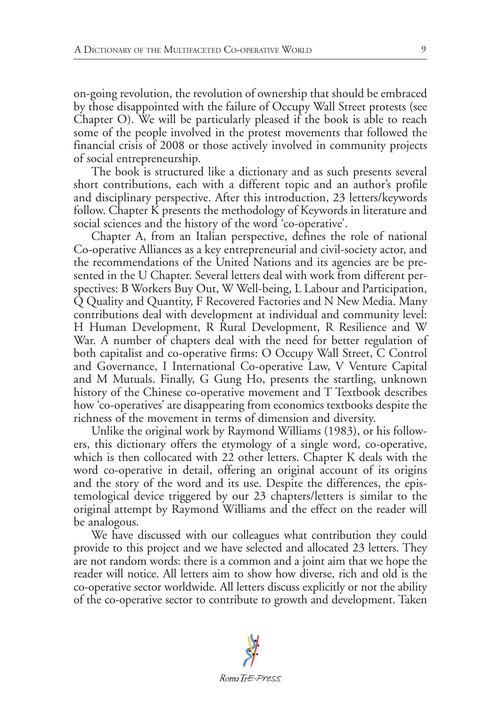on-going revolution, the revolution of ownership that should be embraced by those disappointed with the failure of Occupy Wall Street protests (see Chapter O). We will be particularly pleased if the book is able to reach some of the people involved in the protest movements that followed the financial crisis of 2008 or those actively involved in community projects of social entrepreneurship.

The book is structured like a dictionary and as such presents several short contributions, each with a different topic and an author's profile and disciplinary perspective. After this introduction, 23 letters/keywords follow. Chapter K presents the methodology of Keywords in literature and social sciences and the history of the word 'co-operative'.

Chapter A, from an Italian perspective, defines the role of national Co-operative Alliances as a key entrepreneurial and civil-society actor, and the recommendations of the United Nations and its agencies are be presented in the U Chapter. Several letters deal with work from different perspectives: B Workers Buy Out, W Well-being, L Labour and Participation, Q Quality and Quantity, F Recovered Factories and N New Media. Many contributions deal with development at individual and community level: H Human Development, R Rural Development, R Resilience and W War. A number of chapters deal with the need for better regulation of both capitalist and co-operative firms: O Occupy Wall Street, C Control and Governance, I International Co-operative Law, V Venture Capital and M Mutuals. Finally, G Gung Ho, presents the startling, unknown history of the Chinese co-operative movement and T Textbook describes how 'co-operatives' are disappearing from economics textbooks despite the richness of the movement in terms of dimension and diversity.

Unlike the original work by Raymond Williams (1983), or his followers, this dictionary offers the etymology of a single word, co-operative, which is then collocated with 22 other letters. Chapter K deals with the word co-operative in detail, offering an original account of its origins and the story of the word and its use. Despite the differences, the epistemological device triggered by our 23 chapters/letters is similar to the original attempt by Raymond Williams and the effect on the reader will be analogous.

We have discussed with our colleagues what contribution they could provide to this project and we have selected and allocated 23 letters. They are not random words: there is a common and a joint aim that we hope the reader will notice. All letters aim to show how diverse, rich and old is the co-operative sector worldwide. All letters discuss explicitly or not the ability of the co-operative sector to contribute to growth and development. Taken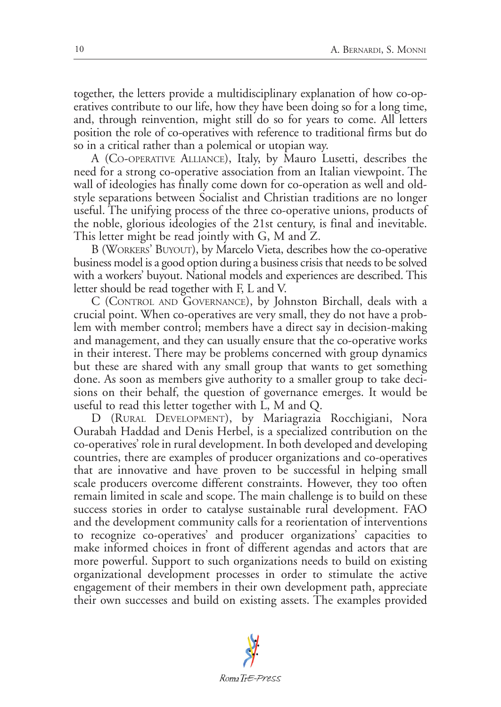together, the letters provide a multidisciplinary explanation of how co-operatives contribute to our life, how they have been doing so for a long time, and, through reinvention, might still do so for years to come. All letters position the role of co-operatives with reference to traditional firms but do so in a critical rather than a polemical or utopian way.

A (Co-operative Alliance), Italy, by Mauro Lusetti, describes the need for a strong co-operative association from an Italian viewpoint. The wall of ideologies has finally come down for co-operation as well and oldstyle separations between Socialist and Christian traditions are no longer useful. The unifying process of the three co-operative unions, products of the noble, glorious ideologies of the 21st century, is final and inevitable. This letter might be read jointly with G, M and Z.

B (Workers' Buyout), by Marcelo Vieta, describes how the co-operative business model is a good option during a business crisis that needs to be solved with a workers' buyout. National models and experiences are described. This letter should be read together with F, L and V.

C (Control and Governance), by Johnston Birchall, deals with a crucial point. When co-operatives are very small, they do not have a problem with member control; members have a direct say in decision-making and management, and they can usually ensure that the co-operative works in their interest. There may be problems concerned with group dynamics but these are shared with any small group that wants to get something done. As soon as members give authority to a smaller group to take decisions on their behalf, the question of governance emerges. It would be useful to read this letter together with L, M and Q.

D (Rural Development), by Mariagrazia Rocchigiani, Nora Ourabah Haddad and Denis Herbel, is a specialized contribution on the co-operatives' role in rural development. In both developed and developing countries, there are examples of producer organizations and co-operatives that are innovative and have proven to be successful in helping small scale producers overcome different constraints. However, they too often remain limited in scale and scope. The main challenge is to build on these success stories in order to catalyse sustainable rural development. FAO and the development community calls for a reorientation of interventions to recognize co-operatives' and producer organizations' capacities to make informed choices in front of different agendas and actors that are more powerful. Support to such organizations needs to build on existing organizational development processes in order to stimulate the active engagement of their members in their own development path, appreciate their own successes and build on existing assets. The examples provided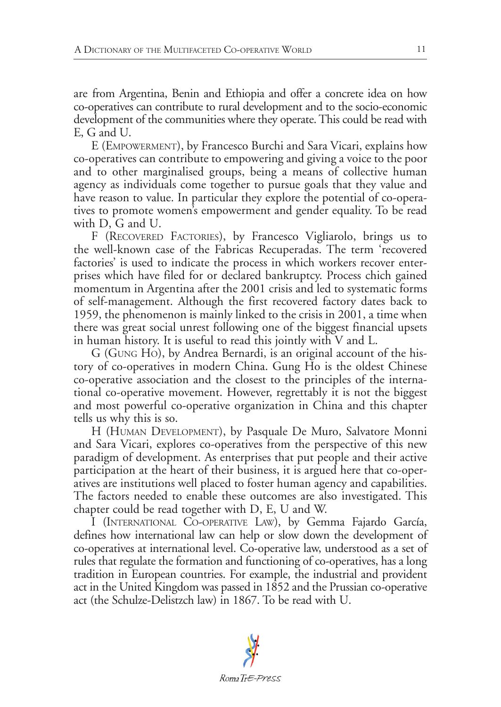are from Argentina, Benin and Ethiopia and offer a concrete idea on how co-operatives can contribute to rural development and to the socio-economic development of the communities where they operate. This could be read with E, G and U.

E (Empowerment), by Francesco Burchi and Sara Vicari, explains how co-operatives can contribute to empowering and giving a voice to the poor and to other marginalised groups, being a means of collective human agency as individuals come together to pursue goals that they value and have reason to value. In particular they explore the potential of co-operatives to promote women's empowerment and gender equality. To be read with D, G and U.

F (RECOVERED FACTORIES), by Francesco Vigliarolo, brings us to the well-known case of the Fabricas Recuperadas. The term 'recovered factories' is used to indicate the process in which workers recover enterprises which have filed for or declared bankruptcy. Process chich gained momentum in Argentina after the 2001 crisis and led to systematic forms of self-management. Although the first recovered factory dates back to 1959, the phenomenon is mainly linked to the crisis in 2001, a time when there was great social unrest following one of the biggest financial upsets in human history. It is useful to read this jointly with V and L.

G (Gung Ho), by Andrea Bernardi, is an original account of the history of co-operatives in modern China. Gung Ho is the oldest Chinese co-operative association and the closest to the principles of the international co-operative movement. However, regrettably it is not the biggest and most powerful co-operative organization in China and this chapter tells us why this is so.

H (Human Development), by Pasquale De Muro, Salvatore Monni and Sara Vicari, explores co-operatives from the perspective of this new paradigm of development. As enterprises that put people and their active participation at the heart of their business, it is argued here that co-operatives are institutions well placed to foster human agency and capabilities. The factors needed to enable these outcomes are also investigated. This chapter could be read together with D, E, U and W.

I (International Co-operative Law), by Gemma Fajardo García, defines how international law can help or slow down the development of co-operatives at international level. Co-operative law, understood as a set of rules that regulate the formation and functioning of co-operatives, has a long tradition in European countries. For example, the industrial and provident act in the United Kingdom was passed in 1852 and the Prussian co-operative act (the Schulze-Delistzch law) in 1867. To be read with U.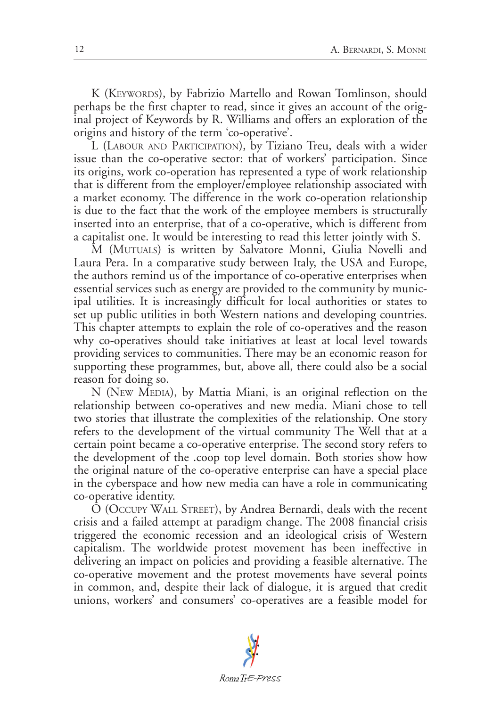K (KEYWORDS), by Fabrizio Martello and Rowan Tomlinson, should perhaps be the first chapter to read, since it gives an account of the original project of Keywords by R. Williams and offers an exploration of the origins and history of the term 'co-operative'.

L (Labour and Participation), by Tiziano Treu, deals with a wider issue than the co-operative sector: that of workers' participation. Since its origins, work co-operation has represented a type of work relationship that is different from the employer/employee relationship associated with a market economy. The difference in the work co-operation relationship is due to the fact that the work of the employee members is structurally inserted into an enterprise, that of a co-operative, which is different from a capitalist one. It would be interesting to read this letter jointly with S.

M (MUTUALS) is written by Salvatore Monni, Giulia Novelli and Laura Pera. In a comparative study between Italy, the USA and Europe, the authors remind us of the importance of co-operative enterprises when essential services such as energy are provided to the community by municipal utilities. It is increasingly difficult for local authorities or states to set up public utilities in both Western nations and developing countries. This chapter attempts to explain the role of co-operatives and the reason why co-operatives should take initiatives at least at local level towards providing services to communities. There may be an economic reason for supporting these programmes, but, above all, there could also be a social reason for doing so.

N (New Media), by Mattia Miani, is an original reflection on the relationship between co-operatives and new media. Miani chose to tell two stories that illustrate the complexities of the relationship. One story refers to the development of the virtual community The Well that at a certain point became a co-operative enterprise. The second story refers to the development of the .coop top level domain. Both stories show how the original nature of the co-operative enterprise can have a special place in the cyberspace and how new media can have a role in communicating co-operative identity.

O (Occupy Wall Street), by Andrea Bernardi, deals with the recent crisis and a failed attempt at paradigm change. The 2008 financial crisis triggered the economic recession and an ideological crisis of Western capitalism. The worldwide protest movement has been ineffective in delivering an impact on policies and providing a feasible alternative. The co-operative movement and the protest movements have several points in common, and, despite their lack of dialogue, it is argued that credit unions, workers' and consumers' co-operatives are a feasible model for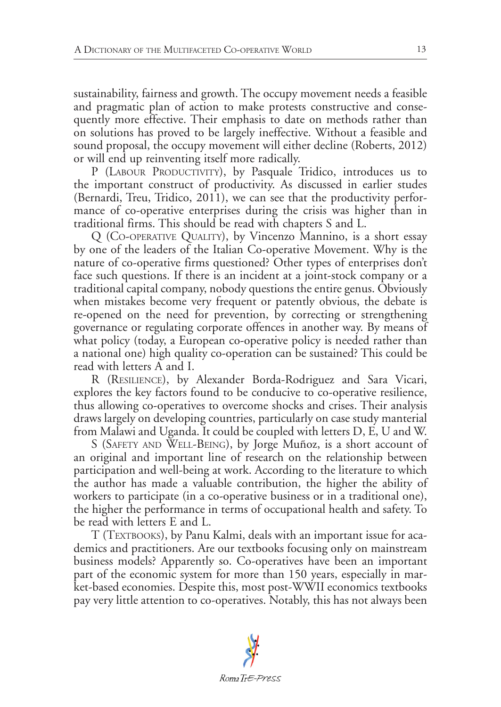sustainability, fairness and growth. The occupy movement needs a feasible and pragmatic plan of action to make protests constructive and consequently more effective. Their emphasis to date on methods rather than on solutions has proved to be largely ineffective. Without a feasible and sound proposal, the occupy movement will either decline (Roberts, 2012) or will end up reinventing itself more radically.

P (LABOUR PRODUCTIVITY), by Pasquale Tridico, introduces us to the important construct of productivity. As discussed in earlier studes (Bernardi, Treu, Tridico, 2011), we can see that the productivity performance of co-operative enterprises during the crisis was higher than in traditional firms. This should be read with chapters S and L.

Q (Co-operative Quality), by Vincenzo Mannino, is a short essay by one of the leaders of the Italian Co-operative Movement. Why is the nature of co-operative firms questioned? Other types of enterprises don't face such questions. If there is an incident at a joint-stock company or a traditional capital company, nobody questions the entire genus. Obviously when mistakes become very frequent or patently obvious, the debate is re-opened on the need for prevention, by correcting or strengthening governance or regulating corporate offences in another way. By means of what policy (today, a European co-operative policy is needed rather than a national one) high quality co-operation can be sustained? This could be read with letters A and I.

R (Resilience), by Alexander Borda-Rodriguez and Sara Vicari, explores the key factors found to be conducive to co-operative resilience, thus allowing co-operatives to overcome shocks and crises. Their analysis draws largely on developing countries, particularly on case study manterial from Malawi and Uganda. It could be coupled with letters D, E, U and W.

S (Safety and Well-Being), by Jorge Muñoz, is a short account of an original and important line of research on the relationship between participation and well-being at work. According to the literature to which the author has made a valuable contribution, the higher the ability of workers to participate (in a co-operative business or in a traditional one), the higher the performance in terms of occupational health and safety. To be read with letters E and L.

T (TEXTBOOKS), by Panu Kalmi, deals with an important issue for academics and practitioners. Are our textbooks focusing only on mainstream business models? Apparently so. Co-operatives have been an important part of the economic system for more than 150 years, especially in market-based economies. Despite this, most post-WWII economics textbooks pay very little attention to co-operatives. Notably, this has not always been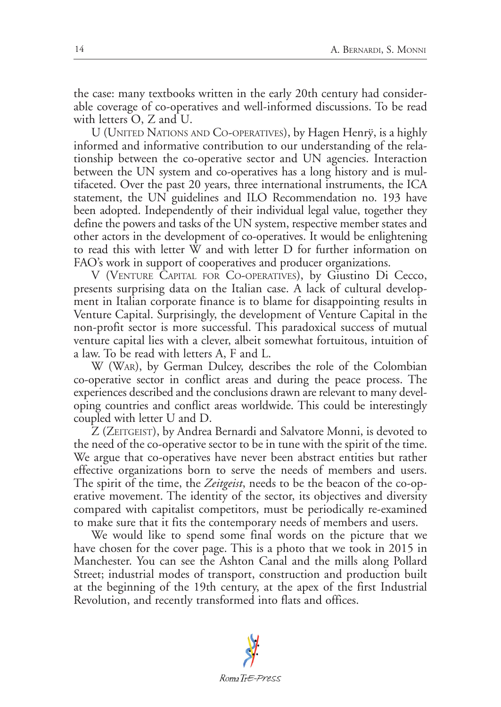the case: many textbooks written in the early 20th century had considerable coverage of co-operatives and well-informed discussions. To be read with letters O, Z and U.

U (United Nations and Co-operatives), by Hagen Henrÿ, is a highly informed and informative contribution to our understanding of the relationship between the co-operative sector and UN agencies. Interaction between the UN system and co-operatives has a long history and is multifaceted. Over the past 20 years, three international instruments, the ICA statement, the UN guidelines and ILO Recommendation no. 193 have been adopted. Independently of their individual legal value, together they define the powers and tasks of the UN system, respective member states and other actors in the development of co-operatives. It would be enlightening to read this with letter W and with letter D for further information on FAO's work in support of cooperatives and producer organizations.

V (Venture Capital for Co-operatives), by Giustino Di Cecco, presents surprising data on the Italian case. A lack of cultural development in Italian corporate finance is to blame for disappointing results in Venture Capital. Surprisingly, the development of Venture Capital in the non-profit sector is more successful. This paradoxical success of mutual venture capital lies with a clever, albeit somewhat fortuitous, intuition of a law. To be read with letters A, F and L.

W (War), by German Dulcey, describes the role of the Colombian co-operative sector in conflict areas and during the peace process. The experiences described and the conclusions drawn are relevant to many developing countries and conflict areas worldwide. This could be interestingly coupled with letter U and D.

Z (ZEITGEIST), by Andrea Bernardi and Salvatore Monni, is devoted to the need of the co-operative sector to be in tune with the spirit of the time. We argue that co-operatives have never been abstract entities but rather effective organizations born to serve the needs of members and users. The spirit of the time, the *Zeitgeist*, needs to be the beacon of the co-operative movement. The identity of the sector, its objectives and diversity compared with capitalist competitors, must be periodically re-examined to make sure that it fits the contemporary needs of members and users.

We would like to spend some final words on the picture that we have chosen for the cover page. This is a photo that we took in 2015 in Manchester. You can see the Ashton Canal and the mills along Pollard Street; industrial modes of transport, construction and production built at the beginning of the 19th century, at the apex of the first Industrial Revolution, and recently transformed into flats and offices.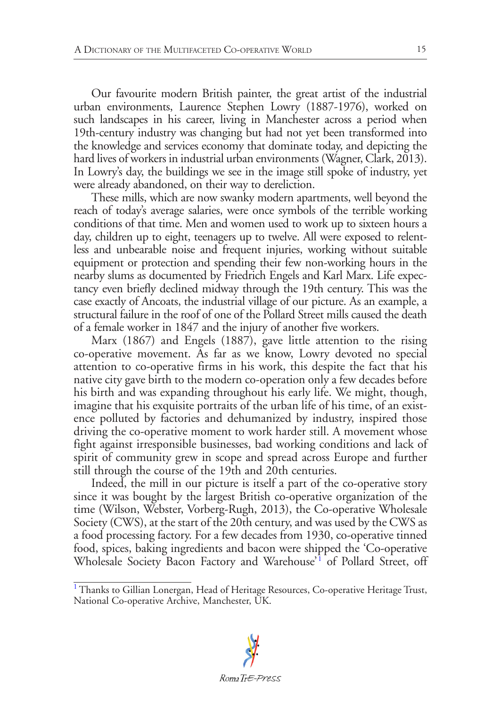Our favourite modern British painter, the great artist of the industrial urban environments, Laurence Stephen Lowry (1887-1976), worked on such landscapes in his career, living in Manchester across a period when 19th-century industry was changing but had not yet been transformed into the knowledge and services economy that dominate today, and depicting the hard lives of workers in industrial urban environments (Wagner, Clark, 2013). In Lowry's day, the buildings we see in the image still spoke of industry, yet were already abandoned, on their way to dereliction.

These mills, which are now swanky modern apartments, well beyond the reach of today's average salaries, were once symbols of the terrible working conditions of that time. Men and women used to work up to sixteen hours a day, children up to eight, teenagers up to twelve. All were exposed to relentless and unbearable noise and frequent injuries, working without suitable equipment or protection and spending their few non-working hours in the nearby slums as documented by Friedrich Engels and Karl Marx. Life expectancy even briefly declined midway through the 19th century. This was the case exactly of Ancoats, the industrial village of our picture. As an example, a structural failure in the roof of one of the Pollard Street mills caused the death of a female worker in 1847 and the injury of another five workers.

Marx (1867) and Engels (1887), gave little attention to the rising co-operative movement. As far as we know, Lowry devoted no special attention to co-operative firms in his work, this despite the fact that his native city gave birth to the modern co-operation only a few decades before his birth and was expanding throughout his early life. We might, though, imagine that his exquisite portraits of the urban life of his time, of an existence polluted by factories and dehumanized by industry, inspired those driving the co-operative moment to work harder still. A movement whose fight against irresponsible businesses, bad working conditions and lack of spirit of community grew in scope and spread across Europe and further still through the course of the 19th and 20th centuries.

Indeed, the mill in our picture is itself a part of the co-operative story since it was bought by the largest British co-operative organization of the time (Wilson, Webster, Vorberg-Rugh, 2013), the Co-operative Wholesale Society (CWS), at the start of the 20th century, and was used by the CWS as a food processing factory. For a few decades from 1930, co-operative tinned food, spices, baking ingredients and bacon were shipped the 'Co-operative Wholesale Society Bacon Factory and Warehouse'<sup>[1](#page-8-0)</sup> of Pollard Street, off

<span id="page-8-1"></span><span id="page-8-0"></span><sup>&</sup>lt;sup>[1](#page-8-1)</sup> Thanks to Gillian Lonergan, Head of Heritage Resources, Co-operative Heritage Trust, National Co-operative Archive, Manchester, UK.